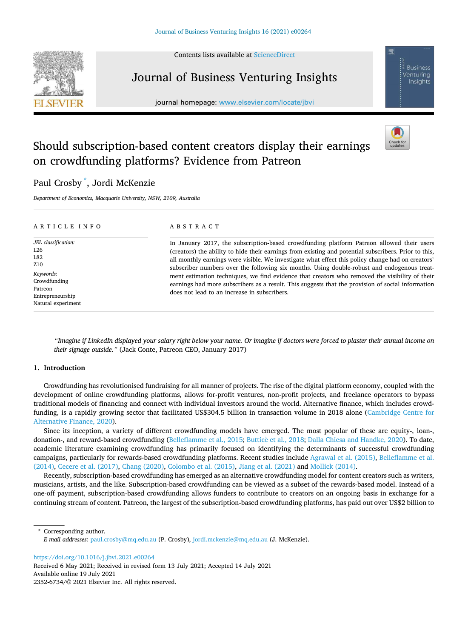Contents lists available at [ScienceDirect](www.sciencedirect.com/science/journal/23526734)



# Journal of Business Venturing Insights

journal homepage: [www.elsevier.com/locate/jbvi](https://www.elsevier.com/locate/jbvi) 

# Should subscription-based content creators display their earnings on crowdfunding platforms? Evidence from Patreon



Venturina Insights

# Paul Crosby \* , Jordi McKenzie

*Department of Economics, Macquarie University, NSW, 2109, Australia* 

| ARTICLE INFO        | ABSTRACT                                                                                              |  |  |  |  |  |  |
|---------------------|-------------------------------------------------------------------------------------------------------|--|--|--|--|--|--|
| JEL classification: | In January 2017, the subscription-based crowdfunding platform Patreon allowed their users             |  |  |  |  |  |  |
| L26                 | (creators) the ability to hide their earnings from existing and potential subscribers. Prior to this, |  |  |  |  |  |  |
| L82                 | all monthly earnings were visible. We investigate what effect this policy change had on creators'     |  |  |  |  |  |  |
| Z <sub>10</sub>     | subscriber numbers over the following six months. Using double-robust and endogenous treat-           |  |  |  |  |  |  |
| Keywords:           | ment estimation techniques, we find evidence that creators who removed the visibility of their        |  |  |  |  |  |  |
| Crowdfunding        | earnings had more subscribers as a result. This suggests that the provision of social information     |  |  |  |  |  |  |
| Patreon             |                                                                                                       |  |  |  |  |  |  |
| Entrepreneurship    | does not lead to an increase in subscribers.                                                          |  |  |  |  |  |  |
| Natural experiment  |                                                                                                       |  |  |  |  |  |  |

*"Imagine if LinkedIn displayed your salary right below your name. Or imagine if doctors were forced to plaster their annual income on their signage outside."* (Jack Conte, Patreon CEO, January 2017)

## **1. Introduction**

Crowdfunding has revolutionised fundraising for all manner of projects. The rise of the digital platform economy, coupled with the development of online crowdfunding platforms, allows for-profit ventures, non-profit projects, and freelance operators to bypass traditional models of financing and connect with individual investors around the world. Alternative finance, which includes crowdfunding, is a rapidly growing sector that facilitated US\$304.5 billion in transaction volume in 2018 alone ([Cambridge Centre for](#page-4-0) [Alternative Finance, 2020\)](#page-4-0).

Since its inception, a variety of different crowdfunding models have emerged. The most popular of these are equity-, loan-, donation-, and reward-based crowdfunding ([Belleflamme et al., 2015;](#page-4-0) Butticè et al., 2018; Dalla Chiesa and Handke, 2020). To date, academic literature examining crowdfunding has primarily focused on identifying the determinants of successful crowdfunding campaigns, particularly for rewards-based crowdfunding platforms. Recent studies include [Agrawal et al. \(2015\), Belleflamme et al.](#page-4-0) [\(2014\),](#page-4-0) [Cecere et al. \(2017\)](#page-4-0), [Chang \(2020\), Colombo et al. \(2015\)](#page-4-0), [Jiang et al. \(2021\)](#page-4-0) and [Mollick \(2014\).](#page-4-0)

Recently, subscription-based crowdfunding has emerged as an alternative crowdfunding model for content creators such as writers, musicians, artists, and the like. Subscription-based crowdfunding can be viewed as a subset of the rewards-based model. Instead of a one-off payment, subscription-based crowdfunding allows funders to contribute to creators on an ongoing basis in exchange for a continuing stream of content. Patreon, the largest of the subscription-based crowdfunding platforms, has paid out over US\$2 billion to

Corresponding author. *E-mail addresses:* [paul.crosby@mq.edu.au](mailto:paul.crosby@mq.edu.au) (P. Crosby), [jordi.mckenzie@mq.edu.au](mailto:jordi.mckenzie@mq.edu.au) (J. McKenzie).

Available online 19 July 2021 2352-6734/© 2021 Elsevier Inc. All rights reserved. <https://doi.org/10.1016/j.jbvi.2021.e00264> Received 6 May 2021; Received in revised form 13 July 2021; Accepted 14 July 2021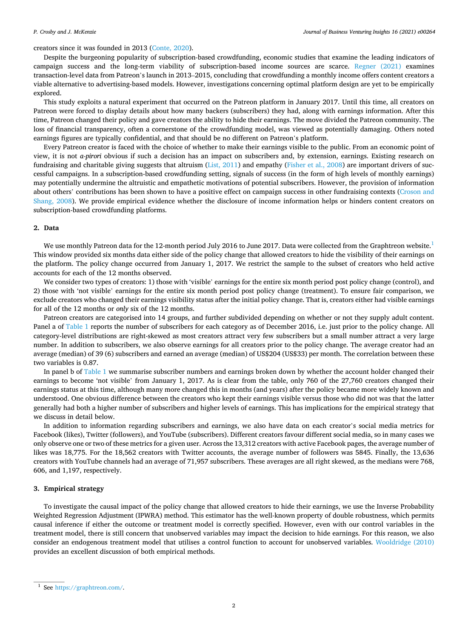#### <span id="page-1-0"></span>*P. Crosby and J. McKenzie*

creators since it was founded in 2013 ([Conte, 2020](#page-4-0)).

Despite the burgeoning popularity of subscription-based crowdfunding, economic studies that examine the leading indicators of campaign success and the long-term viability of subscription-based income sources are scarce. [Regner \(2021\)](#page-4-0) examines transaction-level data from Patreon's launch in 2013–2015, concluding that crowdfunding a monthly income offers content creators a viable alternative to advertising-based models. However, investigations concerning optimal platform design are yet to be empirically explored.

This study exploits a natural experiment that occurred on the Patreon platform in January 2017. Until this time, all creators on Patreon were forced to display details about how many backers (subscribers) they had, along with earnings information. After this time, Patreon changed their policy and gave creators the ability to hide their earnings. The move divided the Patreon community. The loss of financial transparency, often a cornerstone of the crowdfunding model, was viewed as potentially damaging. Others noted earnings figures are typically confidential, and that should be no different on Patreon's platform.

Every Patreon creator is faced with the choice of whether to make their earnings visible to the public. From an economic point of view, it is not *a-pirori* obvious if such a decision has an impact on subscribers and, by extension, earnings. Existing research on fundraising and charitable giving suggests that altruism ([List, 2011\)](#page-4-0) and empathy [\(Fisher et al., 2008](#page-4-0)) are important drivers of successful campaigns. In a subscription-based crowdfunding setting, signals of success (in the form of high levels of monthly earnings) may potentially undermine the altruistic and empathetic motivations of potential subscribers. However, the provision of information about others' contributions has been shown to have a positive effect on campaign success in other fundraising contexts [\(Croson and](#page-4-0) [Shang, 2008\)](#page-4-0). We provide empirical evidence whether the disclosure of income information helps or hinders content creators on subscription-based crowdfunding platforms.

### **2. Data**

We use monthly Patreon data for the 12-month period July 2016 to June 2017. Data were collected from the Graphtreon website.<sup>1</sup> This window provided six months data either side of the policy change that allowed creators to hide the visibility of their earnings on the platform. The policy change occurred from January 1, 2017. We restrict the sample to the subset of creators who held active accounts for each of the 12 months observed.

We consider two types of creators: 1) those with 'visible' earnings for the entire six month period post policy change (control), and 2) those with 'not visible' earnings for the entire six month period post policy change (treatment). To ensure fair comparison, we exclude creators who changed their earnings visibility status after the initial policy change. That is, creators either had visible earnings for all of the 12 months or *only* six of the 12 months.

Patreon creators are categorised into 14 groups, and further subdivided depending on whether or not they supply adult content. Panel a of [Table 1](#page-2-0) reports the number of subscribers for each category as of December 2016, i.e. just prior to the policy change. All category-level distributions are right-skewed as most creators attract very few subscribers but a small number attract a very large number. In addition to subscribers, we also observe earnings for all creators prior to the policy change. The average creator had an average (median) of 39 (6) subscribers and earned an average (median) of US\$204 (US\$33) per month. The correlation between these two variables is 0.87.

In panel b of [Table 1](#page-2-0) we summarise subscriber numbers and earnings broken down by whether the account holder changed their earnings to become 'not visible' from January 1, 2017. As is clear from the table, only 760 of the 27,760 creators changed their earnings status at this time, although many more changed this in months (and years) after the policy became more widely known and understood. One obvious difference between the creators who kept their earnings visible versus those who did not was that the latter generally had both a higher number of subscribers and higher levels of earnings. This has implications for the empirical strategy that we discuss in detail below.

In addition to information regarding subscribers and earnings, we also have data on each creator's social media metrics for Facebook (likes), Twitter (followers), and YouTube (subscribers). Different creators favour different social media, so in many cases we only observe one or two of these metrics for a given user. Across the 13,312 creators with active Facebook pages, the average number of likes was 18,775. For the 18,562 creators with Twitter accounts, the average number of followers was 5845. Finally, the 13,636 creators with YouTube channels had an average of 71,957 subscribers. These averages are all right skewed, as the medians were 768, 606, and 1,197, respectively.

#### **3. Empirical strategy**

To investigate the causal impact of the policy change that allowed creators to hide their earnings, we use the Inverse Probability Weighted Regression Adjustment (IPWRA) method. This estimator has the well-known property of double robustness, which permits causal inference if either the outcome or treatment model is correctly specified. However, even with our control variables in the treatment model, there is still concern that unobserved variables may impact the decision to hide earnings. For this reason, we also consider an endogenous treatment model that utilises a control function to account for unobserved variables. [Wooldridge \(2010\)](#page-4-0) provides an excellent discussion of both empirical methods.

 $1$  See [https://graphtreon.com/.](https://graphtreon.com/)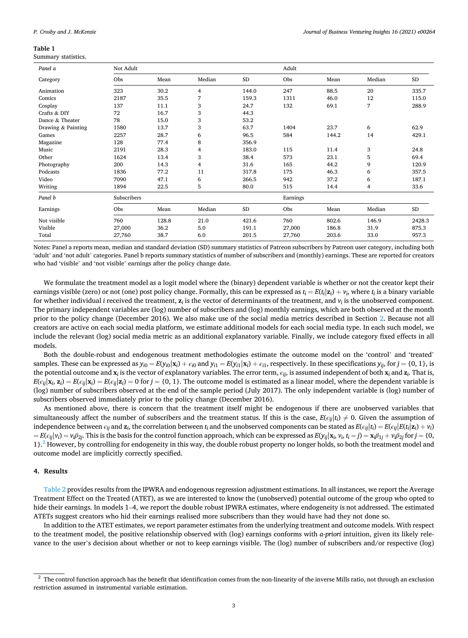#### <span id="page-2-0"></span>**Table 1**

Summary statistics.

| Panel a            | Not Adult   |       |        |           | Adult  |       |        |           |
|--------------------|-------------|-------|--------|-----------|--------|-------|--------|-----------|
| Category           | Obs         | Mean  | Median | <b>SD</b> | Obs    | Mean  | Median | <b>SD</b> |
| Animation          | 323         | 30.2  | 4      | 144.0     | 247    | 88.5  | 20     | 335.7     |
| Comics             | 2187        | 35.5  | 7      | 159.3     | 1311   | 46.0  | 12     | 115.0     |
| Cosplay            | 137         | 11.1  | 3      | 24.7      | 132    | 69.1  | 7      | 288.9     |
| Crafts & DIY       | 72          | 16.7  | 3      | 44.3      |        |       |        |           |
| Dance & Theater    | 78          | 15.0  | 3      | 53.2      |        |       |        |           |
| Drawing & Painting | 1580        | 13.7  | 3      | 63.7      | 1404   | 23.7  | 6      | 62.9      |
| Games              | 2257        | 28.7  | 6      | 96.5      | 584    | 144.2 | 14     | 429.1     |
| Magazine           | 128         | 77.4  | 8      | 356.9     |        |       |        |           |
| Music              | 2191        | 28.3  | 4      | 183.0     | 115    | 11.4  | 3      | 24.8      |
| Other              | 1624        | 13.4  | 3      | 38.4      | 573    | 23.1  | 5      | 69.4      |
| Photography        | 200         | 14.3  | 4      | 31.6      | 165    | 44.2  | 9      | 120.9     |
| Podcasts           | 1836        | 77.2  | 11     | 317.8     | 175    | 46.3  | 6      | 357.5     |
| Video              | 7090        | 47.1  | 6      | 266.5     | 942    | 37.2  | 6      | 187.1     |
| Writing            | 1894        | 22.5  | 5      | 80.0      | 515    | 14.4  | 4      | 33.6      |
| Panel b            | Subscribers |       |        | Earnings  |        |       |        |           |
| Earnings           | Obs         | Mean  | Median | <b>SD</b> | Obs    | Mean  | Median | <b>SD</b> |
| Not visible        | 760         | 128.8 | 21.0   | 421.6     | 760    | 802.6 | 146.9  | 2428.3    |
| Visible            | 27,000      | 36.2  | 5.0    | 191.1     | 27,000 | 186.8 | 31.9   | 875.3     |
| Total              | 27,760      | 38.7  | 6.0    | 201.5     | 27,760 | 203.6 | 33.0   | 957.3     |

Notes: Panel a reports mean, median and standard deviation (SD) summary statistics of Patreon subscribers by Patreon user category, including both 'adult' and 'not adult' categories. Panel b reports summary statistics of number of subscribers and (monthly) earnings. These are reported for creators who had 'visible' and 'not visible' earnings after the policy change date.

We formulate the treatment model as a logit model where the (binary) dependent variable is whether or not the creator kept their earnings visible (zero) or not (one) post policy change. Formally, this can be expressed as  $t_i = E(t_i|\mathbf{z}_i) + v_i$ , where  $t_i$  is a binary variable for whether individual *i* received the treatment,  $\mathbf{z}_i$  is the vector of determinants of the treatment, and  $v_i$  is the unobserved component. The primary independent variables are (log) number of subscribers and (log) monthly earnings, which are both observed at the month prior to the policy change (December 2016). We also make use of the social media metrics described in Section [2](#page-1-0). Because not all creators are active on each social media platform, we estimate additional models for each social media type. In each such model, we include the relevant (log) social media metric as an additional explanatory variable. Finally, we include category fixed effects in all models.

Both the double-robust and endogenous treatment methodologies estimate the outcome model on the 'control' and 'treated' samples. These can be expressed as  $y_{i0} = E(y_{i0} | x_i) + \epsilon_{i0}$  and  $y_{i1} = E(y_{i1} | x_i) + \epsilon_{i1}$ , respectively. In these specifications  $y_{ii}$ , for  $j = \{0, 1\}$ , is the potential outcome and  $\mathbf{x}_i$  is the vector of explanatory variables. The error term,  $\epsilon_{ij}$ , is assumed independent of both  $\mathbf{x}_i$  and  $\mathbf{z}_i$ . That is,  $E(\epsilon_{ij}|\mathbf{x}_i, \mathbf{z}_i) = E(\epsilon_{ij}|\mathbf{x}_i) = E(\epsilon_{ij}|\mathbf{z}_i) = 0$  for  $j = \{0, 1\}$ . The outcome model is estimated as a linear model, where the dependent variable is (log) number of subscribers observed at the end of the sample period (July 2017). The only independent variable is (log) number of subscribers observed immediately prior to the policy change (December 2016).

As mentioned above, there is concern that the treatment itself might be endogenous if there are unobserved variables that simultaneously affect the number of subscribers and the treatment status. If this is the case,  $E(c_{ij}|t_i) \neq 0$ . Given the assumption of independence between  $\epsilon_{ij}$  and  $\mathbf{z}_i$ , the correlation between  $t_i$  and the unobserved components can be stated as  $E(\epsilon_{ij}|t_i)=E(\epsilon_{ij} |E(t_i|\mathbf{z}_i)+\mathbf{v}_i)$  $=E(\epsilon_{ij}|\mathbf{v}_i)=\mathbf{v}_i\beta_{2j}$ . This is the basis for the control function approach, which can be expressed as  $E(\mathbf{y}_{ij}|\mathbf{x}_i,\mathbf{v}_i,t_i=j)=\mathbf{x}_i\beta_{1j}+\mathbf{v}_i\beta_{2j}$  for  $j=\{0,1\}$ 1}.2 However, by controlling for endogeneity in this way, the double robust property no longer holds, so both the treatment model and outcome model are implicitly correctly specified.

#### **4. Results**

[Table 2](#page-3-0) provides results from the IPWRA and endogenous regression adjustment estimations. In all instances, we report the Average Treatment Effect on the Treated (ATET), as we are interested to know the (unobserved) potential outcome of the group who opted to hide their earnings. In models 1–4, we report the double robust IPWRA estimates, where endogeneity is not addressed. The estimated ATETs suggest creators who hid their earnings realised more subscribers than they would have had they not done so.

In addition to the ATET estimates, we report parameter estimates from the underlying treatment and outcome models. With respect to the treatment model, the positive relationship observed with (log) earnings conforms with *a-priori* intuition, given its likely relevance to the user's decision about whether or not to keep earnings visible. The (log) number of subscribers and/or respective (log)

<sup>&</sup>lt;sup>2</sup> The control function approach has the benefit that identification comes from the non-linearity of the inverse Mills ratio, not through an exclusion restriction assumed in instrumental variable estimation.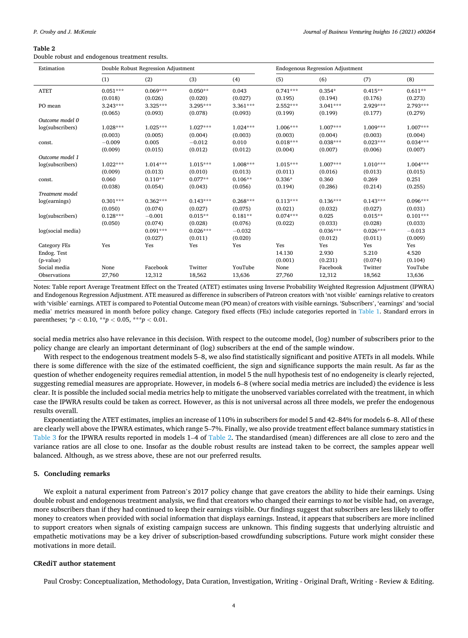#### <span id="page-3-0"></span>**Table 2**

Double robust and endogenous treatment results.

| Estimation          | Double Robust Regression Adjustment |            |            | <b>Endogenous Regression Adjustment</b> |            |            |            |            |
|---------------------|-------------------------------------|------------|------------|-----------------------------------------|------------|------------|------------|------------|
|                     | (1)                                 | (2)        | (3)        | (4)                                     | (5)        | (6)        | (7)        | (8)        |
| <b>ATET</b>         | $0.051***$                          | $0.069***$ | $0.050**$  | 0.043                                   | $0.741***$ | $0.354*$   | $0.415**$  | $0.611**$  |
|                     | (0.018)                             | (0.026)    | (0.020)    | (0.027)                                 | (0.195)    | (0.194)    | (0.176)    | (0.273)    |
| PO mean             | $3.243***$                          | 3.325***   | 3.295***   | $3.361***$                              | $2.552***$ | $3.041***$ | $2.929***$ | $2.793***$ |
|                     | (0.065)                             | (0.093)    | (0.078)    | (0.093)                                 | (0.199)    | (0.199)    | (0.177)    | (0.279)    |
| Outcome model 0     |                                     |            |            |                                         |            |            |            |            |
| log(subscribers)    | $1.028***$                          | $1.025***$ | $1.027***$ | $1.024***$                              | $1.006***$ | $1.007***$ | $1.009***$ | $1.007***$ |
|                     | (0.003)                             | (0.005)    | (0.004)    | (0.003)                                 | (0.003)    | (0.004)    | (0.003)    | (0.004)    |
| const.              | $-0.009$                            | 0.005      | $-0.012$   | 0.010                                   | $0.018***$ | $0.038***$ | $0.023***$ | $0.034***$ |
|                     | (0.009)                             | (0.015)    | (0.012)    | (0.012)                                 | (0.004)    | (0.007)    | (0.006)    | (0.007)    |
| Outcome model 1     |                                     |            |            |                                         |            |            |            |            |
| log(subscribers)    | $1.022***$                          | $1.014***$ | $1.015***$ | $1.008***$                              | $1.015***$ | $1.007***$ | $1.010***$ | $1.004***$ |
|                     | (0.009)                             | (0.013)    | (0.010)    | (0.013)                                 | (0.011)    | (0.016)    | (0.013)    | (0.015)    |
| const.              | 0.060                               | $0.110**$  | $0.077**$  | $0.106**$                               | $0.336*$   | 0.360      | 0.269      | 0.251      |
|                     | (0.038)                             | (0.054)    | (0.043)    | (0.056)                                 | (0.194)    | (0.286)    | (0.214)    | (0.255)    |
| Treatment model     |                                     |            |            |                                         |            |            |            |            |
| log(earnings)       | $0.301***$                          | $0.362***$ | $0.143***$ | $0.268***$                              | $0.113***$ | $0.136***$ | $0.143***$ | $0.096***$ |
|                     | (0.050)                             | (0.074)    | (0.027)    | (0.075)                                 | (0.021)    | (0.032)    | (0.027)    | (0.031)    |
| log(subscribers)    | $0.128***$                          | $-0.001$   | $0.015**$  | $0.181**$                               | $0.074***$ | 0.025      | $0.015**$  | $0.101***$ |
|                     | (0.050)                             | (0.074)    | (0.028)    | (0.076)                                 | (0.022)    | (0.033)    | (0.028)    | (0.033)    |
| log(social media)   |                                     | $0.091***$ | $0.026***$ | $-0.032$                                |            | $0.036***$ | $0.026***$ | $-0.013$   |
|                     |                                     | (0.027)    | (0.011)    | (0.020)                                 |            | (0.012)    | (0.011)    | (0.009)    |
| <b>Category FEs</b> | Yes                                 | Yes        | Yes        | Yes                                     | Yes        | Yes        | Yes        | Yes        |
| Endog. Test         |                                     |            |            |                                         | 14.130     | 2.930      | 5.210      | 4.520      |
| (p-value)           |                                     |            |            |                                         | (0.001)    | (0.231)    | (0.074)    | (0.104)    |
| Social media        | None                                | Facebook   | Twitter    | YouTube                                 | None       | Facebook   | Twitter    | YouTube    |
| Observations        | 27,760                              | 12,312     | 18,562     | 13,636                                  | 27,760     | 12,312     | 18,562     | 13,636     |

Notes: Table report Average Treatment Effect on the Treated (ATET) estimates using Inverse Probability Weighted Regression Adjustment (IPWRA) and Endogenous Regression Adjustment. ATE measured as difference in subscribers of Patreon creators with 'not visible' earnings relative to creators with 'visible' earnings. ATET is compared to Potential Outcome mean (PO mean) of creators with visible earnings. 'Subscribers', 'earnings' and 'social media' metrics measured in month before policy change. Category fixed effects (FEs) include categories reported in [Table 1.](#page-2-0) Standard errors in parentheses; \**p <* 0.10, \*\**p <* 0.05, \*\*\**p <* 0.01.

social media metrics also have relevance in this decision. With respect to the outcome model, (log) number of subscribers prior to the policy change are clearly an important determinant of (log) subscribers at the end of the sample window.

With respect to the endogenous treatment models 5–8, we also find statistically significant and positive ATETs in all models. While there is some difference with the size of the estimated coefficient, the sign and significance supports the main result. As far as the question of whether endogeneity requires remedial attention, in model 5 the null hypothesis test of no endogeneity is clearly rejected, suggesting remedial measures are appropriate. However, in models 6–8 (where social media metrics are included) the evidence is less clear. It is possible the included social media metrics help to mitigate the unobserved variables correlated with the treatment, in which case the IPWRA results could be taken as correct. However, as this is not universal across all three models, we prefer the endogenous results overall.

Exponentiating the ATET estimates, implies an increase of 110% in subscribers for model 5 and 42–84% for models 6–8. All of these are clearly well above the IPWRA estimates, which range 5–7%. Finally, we also provide treatment effect balance summary statistics in [Table 3](#page-4-0) for the IPWRA results reported in models 1–4 of Table 2. The standardised (mean) differences are all close to zero and the variance ratios are all close to one. Insofar as the double robust results are instead taken to be correct, the samples appear well balanced. Although, as we stress above, these are not our preferred results.

#### **5. Concluding remarks**

We exploit a natural experiment from Patreon's 2017 policy change that gave creators the ability to hide their earnings. Using double robust and endogenous treatment analysis, we find that creators who changed their earnings to *not* be visible had, on average, more subscribers than if they had continued to keep their earnings visible. Our findings suggest that subscribers are less likely to offer money to creators when provided with social information that displays earnings. Instead, it appears that subscribers are more inclined to support creators when signals of existing campaign success are unknown. This finding suggests that underlying altruistic and empathetic motivations may be a key driver of subscription-based crowdfunding subscriptions. Future work might consider these motivations in more detail.

### **CRediT author statement**

Paul Crosby: Conceptualization, Methodology, Data Curation, Investigation, Writing - Original Draft, Writing - Review & Editing.